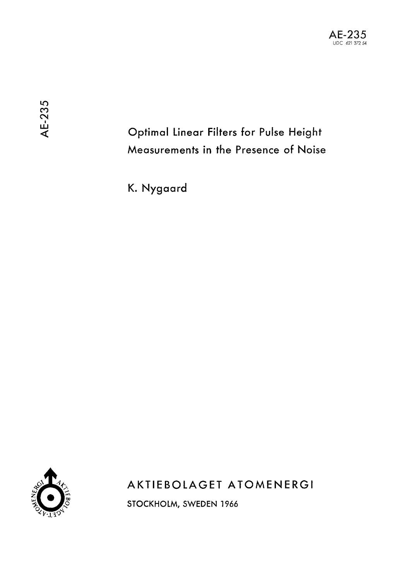# Optimal Linear Filters for Pulse Height Measurements in the Presence of Noise

K. Nygaard



AKTIEBOLAGET ATOMENERGI

STOCKHOLM, SWEDEN 1966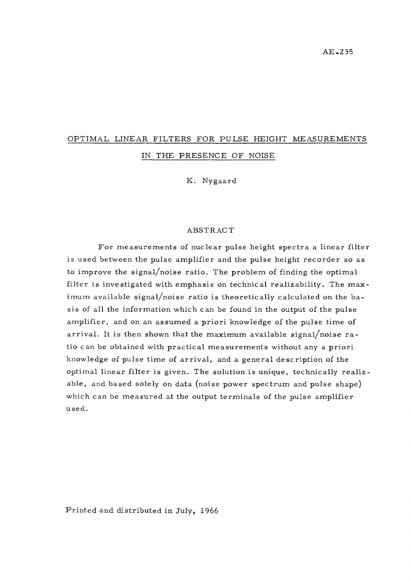## OPTIMAL LINEAR FILTERS FOR PULSE HEIGHT MEASUREMENTS IN THE PRESENCE OF NOISE

K. Nygaard

#### ABSTRACT

For measurements of nuclear pulse height spectra a linear filter is used between the pulse amplifier and the pulse height recorder so as to improve the signal/noise ratio. The problem of finding the optimal filter is investigated with emphasis on technical realizability. The maximum available signal/noise ratio is theoretically calculated on the basis of all the information which can be found in the output of the pulse amplifier, and on an assumed a priori knowledge of the pulse time of arrival. It is then shown that the maximum available signal/noise ratio can be obtained with practical measurements without any a priori knowledge of pulse time of arrival, and a general description of the optimal linear filter is given. The solution is unique, technically realizable, and based solely on data (noise power spectrum and pulse shape) which can be measured at the output terminals of the pulse amplifier used.

Printed and distributed in July, 1966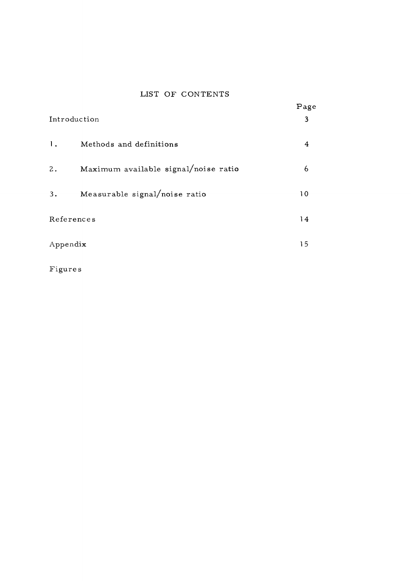### LIST OF CONTENTS

| Introduction                               | Page<br>3 |
|--------------------------------------------|-----------|
| $\mathbf{1}$ .<br>Methods and definitions  | 4         |
| Maximum available signal/noise ratio<br>2. | 6         |
| Measurable signal/noise ratio<br>3.        | 10        |
| References                                 | 14        |
| Appendix                                   | 15        |

Figures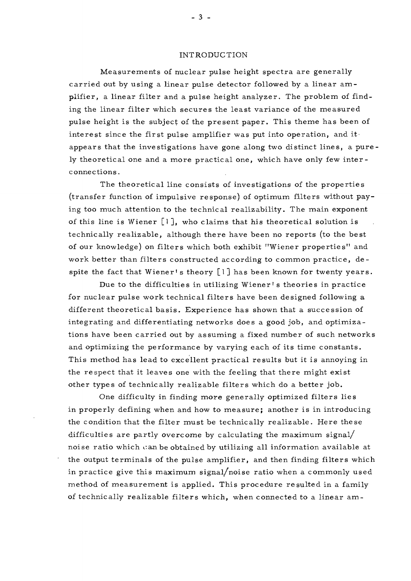#### INTRODUCTION

Measurements of nuclear pulse height spectra are generallycarried out by using a linear pulse detector followed by a linear amplifier, a linear filter and a pulse height analyzer. The problem of finding the linear filter which secures the least variance of the measured pulse height is the subject of the present paper. This theme has been of interest since the first pulse amplifier was put into operation, and it appears that the investigations have gone along two distinct lines, a purely theoretical one and a more practical one, which have only few interconnections.

The theoretical line consists of investigations of the properties (transfer function of impulsive response) of optimum filters without paying too much attention to the technical realizability. The main exponent of this line is Wiener [l ], who claims that his theoretical solution is technically realizable, although there have been no reports (to the best of our knowledge) on filters which both exhibit "Wiener properties" and work better than filters constructed according to common practice, despite the fact that Wiener's theory [1] has been known for twenty years.

Due to the difficulties in utilizing Wiener' s theories in practice for nuclear pulse work technical filters have been designed following a different theoretical basis. Experience has shown that a succession of integrating and differentiating networks does a good job, and optimizations have been carried out by assuming a fixed number of such networks and optimizing the performance by varying each of its time constants. This method has lead to excellent practical results but it is annoying in the respect that it leaves one with the feeling that there might exist other types of technically realizable filters which do a better job.

One difficulty in finding more generally optimized filters lies in properly defining when and how to measure; another is in introducing the condition that the filter must be technically realizable. Here these difficulties are partly overcome by calculating the maximum signal/ noise ratio which *c* an be obtained by utilizing all information available at the output terminals of the pulse amplifier, and then finding filters which in practice give this maximum signal/noise ratio when a commonly used method of measurement is applied. This procedure resulted in a family of technically realizable filters which, when connected to a linear am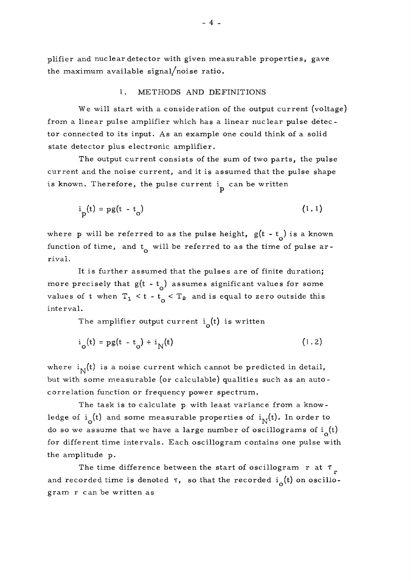plifier and nuclear detector with given measurable properties, gave the maximum available signal/noise ratio.

#### 1. METHODS AND DEFINITIONS

We will start with a consideration of the output current (voltage) from a linear pulse amplifier which has a linear nuclear pulse detector connected to its input. As an example one could think of a solid state detector plus electronic amplifier.

The output current consists of the sum of two parts, the pulse current and the noise current, and it is assumed that the pulse shape is known. Therefore, the pulse current  $\frac{1}{n}$  can be written

$$
i_{\mathbf{p}}(t) = \mathbf{p}g(t - t_{\mathbf{p}}) \tag{1.1}
$$

where p will be referred to as the pulse height,  $g(t - t_o)$  is a known function of time, and  $t_0$  will be referred to as the time of pulse arrival.

It is further assumed that the pulses are of finite duration; more precisely that  $g(t - t_0)$  assumes significant values for some values of t when  $T_1 < t - t_0 < T_2$  and is equal to zero outside this interval.

The amplifier output current  $i_0(t)$  is written

$$
i_{o}(t) = pg(t - t_{o}) + i_{N}(t)
$$
 (1.2)

where  $i_N(t)$  is a noise current which cannot be predicted in detail, but with some measurable (or calculable) qualities such as an autocorrelation function or frequency power spectrum.

The task is to calculate p with least variance from a knowledge of  $i_{\alpha}(t)$  and some measurable properties of  $i_{\alpha}(t)$ . In order to do so we assume that we have a large number of oscillograms of  $i_{\alpha}(t)$ for different time intervals. Each oscillogram contains one pulse with the amplitude p.

The time difference between the start of oscillogram r at  $\tau_{r}$ and recorded time is denoted  $\tau$ , so that the recorded  $i_{\alpha}(t)$  on oscillogram r can be written as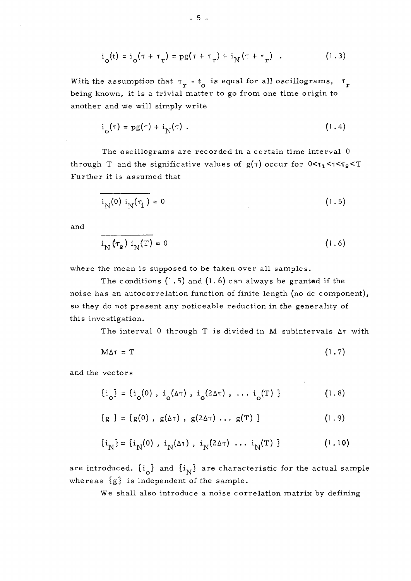$$
i_{o}(t) = i_{o}(\tau + \tau_{r}) = pg(\tau + \tau_{r}) + i_{N}(\tau + \tau_{r})
$$
 (1.3)

With the assumption that  $\tau_r$  - t<sub>o</sub> is equal for all oscillograms,  $\tau_r$ being known, it is a trivial matter to go from one time origin to another and we will simply write

$$
i_{\Omega}(\tau) = pg(\tau) + i_{N}(\tau) . \qquad (1.4)
$$

The oscillograms are recorded in a certain time interval 0 through T and the significative values of  $g(\tau)$  occur for  $0 < \tau_1 < \tau < \tau_2 < T$ Further it is assumed that

$$
i_{N}(0) i_{N}(\tau_{i}) = 0 \tag{1.5}
$$

and

$$
i_{N}(\tau_{2}) i_{N}(T) = 0
$$
 (1.6)

where the mean is supposed to be taken over all samples.

The conditions  $(1.5)$  and  $(1.6)$  can always be granted if the noise has an autocorrelation function of finite length (no dc component), so they do not present any noticeable reduction in the generality of this investigation.

The interval 0 through T is divided in M subintervals  $\Delta\tau$  with

$$
M\Delta\tau = T \tag{1.7}
$$

and the vectors

$$
\{i_{o}\} = \{i_{o}(0), i_{o}(\Delta \tau), i_{o}(2\Delta \tau), \ldots, i_{o}(T)\}
$$
 (1.8)

$$
\{g\} = \{g(0), g(\Delta\tau), g(2\Delta\tau), \ldots g(T)\}
$$
 (1.9)

$$
\{i_N\} = \{i_N(0), i_N(\Delta \tau), i_N(2\Delta \tau), \dots, i_N(T)\}
$$
 (1.10)

are introduced.  $\{i_{\alpha}\}$  and  $\{i_{N}\}$  are characteristic for the actual sample whereas {g} is independent of the sample.

We shall also introduce a noise correlation matrix by defining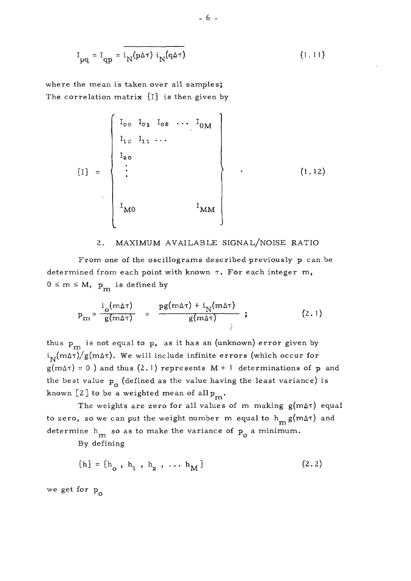$$
I_{pq} = I_{qp} = i_N(p\Delta\tau) i_N(q\Delta\tau)
$$
 (1.11)

where the mean is taken over all samples; The correlation matrix  $\{I\}$  is then given by

$$
\begin{bmatrix}\nI_{oo} & I_{oo} & I_{oo} & \cdots & I_{OM} \\
I_{1c} & I_{11} & \cdots & & & \\
I_{2o} & & & & \\
\vdots & & & & \\
I_{M0} & & & & I_{MM}\n\end{bmatrix}
$$
\n(1.12)

#### 2. MAXIMUM AVAILABLE SIGNAL/NOISE RATIO

From one of the oscillograms described previously p can be determined from each point with known  $\tau$ . For each integer m,  $0 \leq m \leq M$ ,  $p_m$  is defined by

$$
p_{m} = \frac{i_{o}(m\Delta\tau)}{g(m\Delta\tau)} = \frac{pg(m\Delta\tau) + i_{N}(m\Delta\tau)}{g(m\Delta\tau)} \t{; \t(2.1)}
$$

thus  $p_m$  is not equal to p, as it has an (unknown) error given by  $i_{\text{N}}(m\Delta\tau)/g(m\Delta\tau)$ . We will include infinite errors (which occur for  $g(m\Delta\tau) = 0$  ) and thus (2.1) represents M + 1 determinations of p and the best value  $p_{\alpha}$  (defined as the value having the least variance) is known [2] to be a weighted mean of allp

m The weights are zero for all values of m making  $g(m\Delta\tau)$  equal to zero, so we can put the weight number m equal to  $h_m g(m\Delta\tau)$  and determine  $h_m$  so as to make the variance of  $p_o$  a minimum.

By defining

$$
\{h\} = \{h_o, h_1, h_2, \dots h_M\}
$$
 (2.2)

we get for p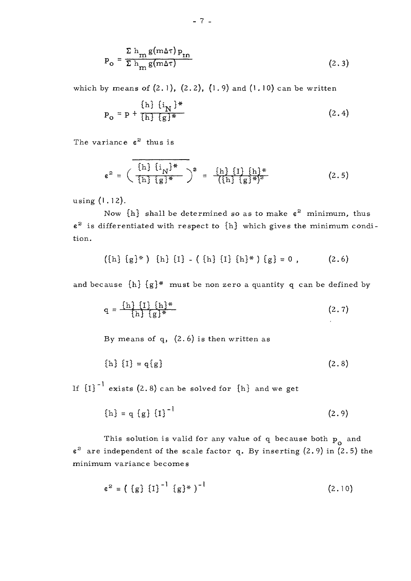$$
P_o = \frac{\sum h_m g(m\Delta\tau) P_{nn}}{\sum h_m g(m\Delta\tau)}
$$
 (2.3)

which by means of  $(2.1)$ ,  $(2.2)$ ,  $(1.9)$  and  $(1.10)$  can be written

$$
P_{o} = p + \frac{\{h\} \{i_N\}^*}{\{h\} \{g\}^*}
$$
 (2.4)

The variance  $\varepsilon^2$  thus is

$$
\epsilon^{2} = \left(\frac{\{\text{h}\}\{\text{i}_{N}\}^{*}}{\{\text{h}\}\{\text{g}\}^{*}}\right)^{2} = \frac{\{\text{h}\}\{\text{I}\}\{\text{h}\}^{*}}{\{\{\text{h}\}\{\text{g}\}^{*}\}^{2}}
$$
(2.5)

using (1.12).

Now  $\{ {\rm h}\}$  shall be determined so as to make  ${\rm e}^{\rm 2}$  minimum, thus  $\varepsilon^2$  is differentiated with respect to  $\{ {\rm h}\}$  which gives the minimum condition.

$$
(\{h\} \{g\}^*) \{h\} \{I\} - (\{h\} \{I\} \{h\}^*) \{g\} = 0 , \qquad (2.6)
$$

and because  $\{h\}$   $\{g\}$ \* must be non zero a quantity q can be defined by

$$
q = \frac{\{h\} \{I\} \{h\}^*}{\{h\} \{g\}^*}
$$
 (2.7)

By means of  $q$ ,  $(2.6)$  is then written as

$$
{h} {t} = q{g}
$$
 (2.8)

If  ${[1]}^{-1}$  exists (2.8) can be solved for  ${h}$  and we get

$$
\{h\} = q \{g\} \{I\}^{-1}
$$
 (2.9)

This solution is valid for any value of  $q$  because both  $p_0$  and  $\varepsilon^2$  are independent of the scale factor q. By inserting (2.9) in (2.5) the minimum variance becomes

$$
e^{2} = (\{g\} {\{I\}}^{-1} {\{g\}}^{*})^{-1}
$$
 (2.10)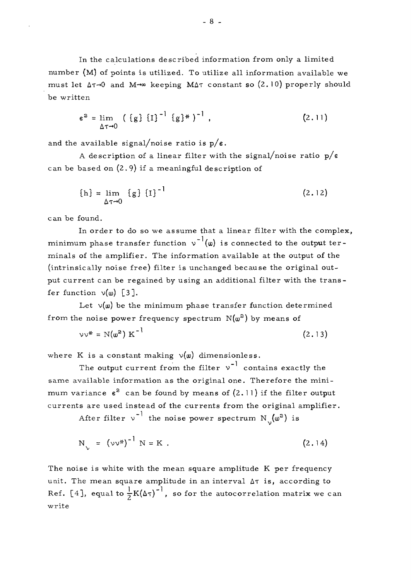In the calculations described information from only a limited number (M) of points is utilized. To utilize all information available we must let  $\Delta \tau \rightarrow 0$  and  $M \rightarrow \infty$  keeping  $M \Delta \tau$  constant so (2.10) properly should be written

$$
\varepsilon^{2} = \lim_{\Delta \tau \to 0} \left( \{ g \} \{ I \}^{-1} \{ g \}^{*} \right)^{-1}, \tag{2.11}
$$

and the available signal/noise ratio is  $p/\varepsilon$ .

A description of a linear filter with the signal/noise ratio  $p/e$ can be based on (2. 9) if a meaningful description of

$$
\{h\} = \lim_{\Delta \tau \to 0} \{g\} \{I\}^{-1}
$$
 (2.12)

can be found.

In order to do so we assume that a linear filter with the complex, minimum phase transfer function  $v^{-1}(\omega)$  is connected to the output terminals of the amplifier. The information available at the output of the (intrinsically noise free) filter is unchanged because the original output current can be regained by using an additional filter with the transfer function  $v(\omega)$  [3].

Let  $v(\omega)$  be the minimum phase transfer function determined from the noise power frequency spectrum  $\,\mathrm{N}(\mathsf{w}^2)\,$  by means of

$$
\nu \nu^* = N(\omega^2) K^{-1} \tag{2.13}
$$

where K is a constant making  $v(\omega)$  dimensionless.

The output current from the filter  $v^{-1}$  contains exactly the same available information as the original one. Therefore the minimum variance  $\varepsilon^2$  can be found by means of (2.11) if the filter output currents are used instead of the currents from the original amplifier.

After filter  $v^{-1}$  the noise power spectrum  $N(\omega^2)$  is

$$
N_{\gamma} = (\nu \nu^*)^{-1} N = K . \qquad (2.14)
$$

The noise is white with the mean square amplitude K per frequency unit. The mean square amplitude in an interval  $\Delta \tau$  is, according to Ref. [4], equal to  $\frac{1}{2}K(\Delta\tau)^{-1}$ , so for the autocorrelation matrix we can write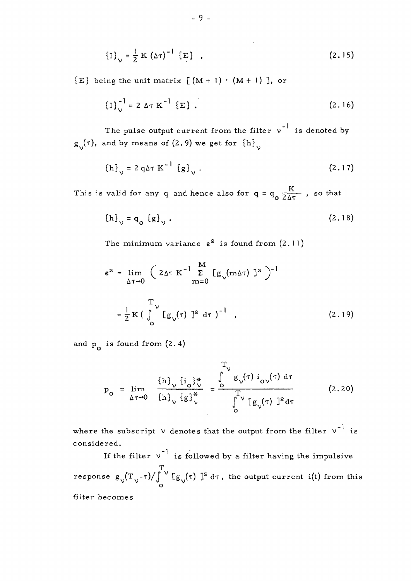$$
\{I\}_{\nu} = \frac{1}{2} K (\Delta \tau)^{-1} \{E\} \quad (2.15)
$$

 ${E}$  being the unit matrix  $(M + 1) \cdot (M + 1)$ , or

$$
\left\{I\right\}_{\nu}^{-1} = 2 \Delta \tau \, K^{-1} \left\{E\right\} \, . \tag{2.16}
$$

The pulse output current from the filter  $v^{-1}$  is denoted by  $g_{v}(\tau)$ , and by means of (2.9) we get for  ${h}_{v}$ 

$$
\{h\}_{\nu} = 2 q \Delta \tau K^{-1} \{g\}_{\nu} . \tag{2.17}
$$

This is valid for any q and hence also for  $q = q_o \frac{K}{2\Delta\tau}$ , so that

$$
\left\{h\right\}_{\vee} = q_{\mathbf{0}} \left\{g\right\}_{\vee} . \tag{2.18}
$$

The minimum variance  $\varepsilon^2$  is found from  $(2.11)$ 

$$
\epsilon^{2} = \lim_{\Delta \tau \to 0} \left( 2 \Delta \tau \, K^{-1} \sum_{m=0}^{M} \left[ g_{\nu}(m \Delta \tau) \right]^{2} \right)^{-1}
$$

$$
= \frac{1}{2} K \left( \int_{0}^{T_{\nu}} \left[ g_{\nu}(\tau) \right]^{2} d\tau \right)^{-1}, \qquad (2.19)
$$

and  $p_{0}$  is found from  $(2.4)$ 

$$
p_{o} = \lim_{\Delta \tau \to 0} \frac{\left\{h\right\}_{\nu} \left\{i_{o}\right\}_{\nu}^{*}}{\left\{h\right\}_{\nu} \left\{g\right\}_{\nu}^{*}} = \frac{\int_{o}^{T_{\nu}} g_{\nu}(\tau) i_{o\nu}(\tau) d\tau}{\int_{o}^{T_{\nu}} [g_{\nu}(\tau)]^{2} d\tau}
$$
(2.20)

where the subscript  $\vee$  denotes that the output from the filter  $\vee^{-1}$  is considered.

If the filter  $v^{-1}$  is followed by a filter having the impulsive T response  $g^{}_\mathcal{N}(\mathrm{T}_\mathcal{N}^{}{}_{\mathcal{-}} \tau) / \int^\mathcal{N}_{} \mathrm{[}g^{}_\mathcal{N}(\tau) \mathrm{]}^2 \mathrm{d} \tau$  , the output current i(t) from this o filter becomes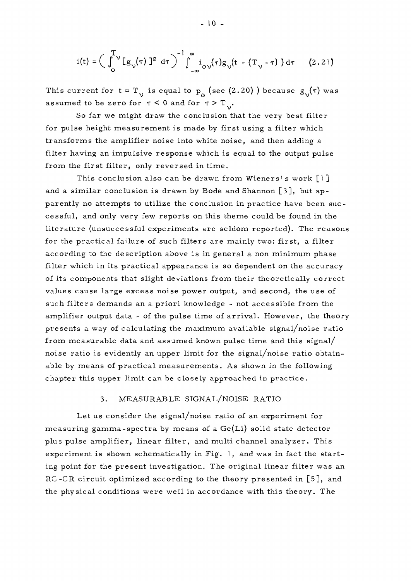$$
i(t) = \left(\int_0^T v \left[g_{\nu}(\tau)\right]^2 d\tau\right)^{-1} \int_{-\infty}^{\infty} i_{0\nu}(\tau) g_{\nu}(t - \left(T_{\nu} - \tau\right)) d\tau \qquad (2.21)
$$

This current for  $t = T_{v}$  is equal to  $p_{0}$  (see (2.20)) because  $g_{v}(\tau)$  was assumed to be zero for  $\tau < 0$  and for  $\tau > T_{\gamma}$ .

So far we might draw the conclusion that the very best filter for pulse height measurement is made by first using a filter which transforms the amplifier noise into white noise, and then adding a filter having an impulsive response which is equal to the output pulse from the first filter, only reversed in time.

This conclusion also can be drawn from Wieners's work  $[1]$ This conclusion also can be drawn from Wieners's work  $\begin{bmatrix} 1 \\ 2 \end{bmatrix}$ parently no attempts to utilize the conclusion in practice have been successful, and only very few reports on this theme could be found in the cessiui, and only very few reports on this theme could be found in the literature (unsuccessful experiments are seldom reported). The reasons for the practical failure of such filters are mainly two: first, a filter according to the description above is in general a non minimum phase filter which in its practical appearance is so dependent on the accuracy of its components that slight deviations from their theoretically correct values cause large excess noise power output, and second, the use of such filters demands an a priori knowledge - not accessible from the amplifier output data - of the pulse time of arrival. However, the theory presents a way of calculating the maximum available signal/noise ratio<br>from measurable data and assumed known pulse time and this signal/ from measurable data and assumed known pulse time and this signal/ noise ratio is evidently an upper limit for the signal/noise ratio obtainable by means of practical measurements. As shown in the following chapter this upper limit can be closely approached in practice.

#### 3. MEASURABLE SIGNAL/NOISE RATIO

Let us consider the signal/noise ratio of an experiment for measuring gamma-spectra by means of a Ge(Li) solid state detector plus pulse amplifier, linear filter, and multi channel analyzer. This experiment is shown schematically in Fig. 1, and was in fact the starting point for the present investigation. The original linear filter was an RC-CR circuit optimized according to the theory presented in [5], and the physical conditions were well in accordance with this theory. The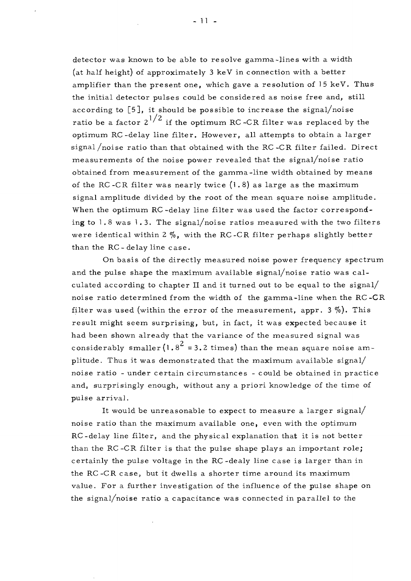detector was known to be able to resolve gamma-lines with a width (at half height) of approximately 3 keV in connection with a better amplifier than the present one, which gave a resolution of 15 keV. Thus the initial detector pulses could be considered as noise free and, still according to [5], it should be possible to increase the signal/noise ratio be a factor  $2^{1/2}$  if the optimum RC-CR filter was replaced by the optimum RC-delay line filter. However, all attempts to obtain a larger signal /noise ratio than that obtained with the RC-CR filter failed. Direct measurements of the noise power revealed that the signal/noise ratio obtained from measurement of the gamma-line width obtained by means of the RC-CR filter was nearly twice  $(1.8)$  as large as the maximum signal amplitude divided by the root of the mean square noise amplitude. When the optimum RC-delay line filter was used the factor corresponding to  $1.8$  was  $1.3$ . The signal/noise ratios measured with the two filters were identical within 2  $\%$ , with the RC-CR filter perhaps slightly better than the RC-delay line case.

On basis of the directly measured noise power frequency spectrum and the pulse shape the maximum available signal/noise ratio was calculated according to chapter II and it turned out to be equal to the signal/ noise ratio determined from the width of the gamma-line when the RC-CR filter was used (within the error of the measurement, appr.  $3\%$ ). This result might seem surprising, but, in fact, it was expected because it had been shown already that the variance of the measured signal was considerably smaller (1.8<sup>2</sup> = 3.2 times) than the mean square noise amplitude. Thus it was demonstrated that the maximum available signal/ noise ratio - under certain circumstances - could be obtained in practice and, surprisingly enough, without any a priori knowledge of the time of pulse arrival.

It would be unreasonable to expect to measure a larger signal/ noise ratio than the maximum available one, even with the optimum RC-delay line filter, and the physical explanation that it is not better than the RC-CR filter is that the pulse shape plays an important role; certainly the pulse voltage in the RC-dealy line case is larger than in the RC-CR case, but it dwells a shorter time around its maximum value. For a further investigation of the influence of the pulse shape on the signal/noise ratio a capacitance was connected in parallel to the

**- 11 -**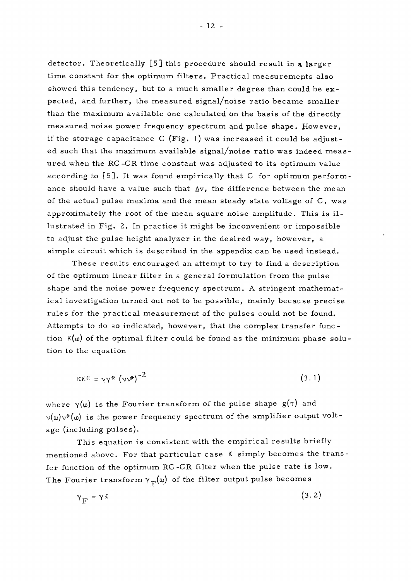detector. Theoretically  $\begin{bmatrix} 5 \end{bmatrix}$  this procedure should result in a larger time constant for the optimum filters. Practical measurements also showed this tendency, but to a much smaller degree than could be expected, and further, the measured signal/noise ratio became smaller than the maximum available one calculated On the basis of the directly measured noise power frequency spectrum and pulse shape. However, if the storage capacitance C (Fig. l) was increased it could be adjusted such that the maximum available signal/noise ratio was indeed measured when the RC-CR time constant was adjusted to its optimum value according to [5], It was found empirically that C for optimum performance should have a value such that  $\Delta v$ , the difference between the mean of the actual pulse maxima and the mean steady state voltage of C, was approximately the root of the mean square noise amplitude. This is illustrated in Fig. 2. In practice it might be inconvenient or impossible to adjust the pulse height analyzer in the desired way, however, a simple circuit which is described in the appendix can be used instead.

These results encouraged an attempt to try to find a description of the optimum linear filter in a general formulation from the pulse shape and the noise power frequency spectrum. A stringent mathematical investigation turned out not to be possible, mainly because precise rules for the practical measurement of the pulses could not be found. Attempts to do so indicated, however, that the complex transfer function  $K(\omega)$  of the optimal filter could be found as the minimum phase solution to the equation

$$
\kappa \kappa^* = \gamma \gamma^* \left( \nu \nu^* \right)^{-2} \tag{3.1}
$$

where  $\gamma(\omega)$  is the Fourier transform of the pulse shape  $g(\tau)$  and  $v(\omega)v^*(\omega)$  is the power frequency spectrum of the amplifier output voltage (including pulses).

This equation is consistent with the empirical results briefly mentioned above. For that particular case K simply becomes the transfer function of the optimum RC -CR filter when the pulse rate is low. The Fourier transform  $\gamma_F(\omega)$  of the filter output pulse becomes

$$
\gamma_{\rm F} = \gamma \kappa \tag{3.2}
$$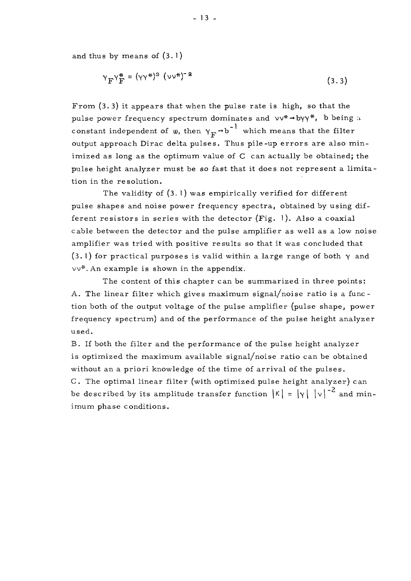and thus by means of (3.1)

$$
Y_{\mathbf{F}}Y_{\mathbf{F}}^* = (\gamma \gamma^*)^2 (\gamma \gamma^*)^{-2}
$$
 (3.3)

From (3. 3) it appears that when the pulse rate is high, so that the pulse power frequency spectrum dominates and  $vv^* \rightarrow by \gamma^*$ , b being *u* constant independent of  $\omega$ , then  $\gamma_{\mathbf{F}} \rightarrow b^{-1}$  which means that the filter output approach Dirac delta pulses. Thus pile-up errors are also minimized as long as the optimum value of C can actually be obtained; the pulse height analyzer must be so fast that it does not represent a limitation in the resolution.

The validity of (3. l) was empirically verified for different pulse shapes and noise power frequency spectra, obtained by using different resistors in series with the detector  $(Fig. 1)$ . Also a coaxial cable between the detector and the pulse amplifier as well as a low noise amplifier was tried with positive results so that it was concluded that (3. 1) for practical purposes is valid within a large range of both *y* and vv\*. An example is shown in the appendix.

The content of this chapter can be summarized in three points: A. The linear filter which gives maximum signal/noise ratio is a function both of the output voltage of the pulse amplifier (pulse shape, power frequency spectrum) and of the performance of the pulse height analyzer used.

B. If both the filter and the performance of the pulse height analyzer is optimized the maximum available signal/noise ratio can be obtained without an a priori knowledge of the time of arrival of the pulses. C. The optimal linear filter (with optimized pulse height analyzer) can be described by its amplitude transfer function  $|\kappa| = |\gamma| |\nu|^{-2}$  and minimum phase conditions.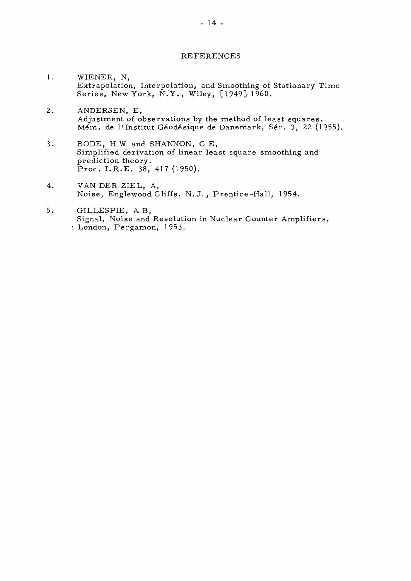#### REFERENCES

- 1. WIENER, N, Extrapolation, Interpolation, and Smoothing of Stationary Time Series, New York, N.Y., Wiley, [1949] 1960.
- 2. ANDERSEN, E, Adjustment of observations by the method of least squares. Mém. de I<sup>1</sup> Institut Géodésique de Danemark, Sér. 3, 22 (1955),
- 3. BODE, H W and SHANNON, C E, Simplified derivation of linear least square smoothing and prediction theory. Proc . I.R.E . 38, 417(1950).
- 4. VAN DER ZIEL, A, Noise, Englewood Cliffs. N.J. , Prentice-Hall, 1954.
- 5. GILLESPIE, A B, Signal, Noise and Resolution in Nuclear Counter Amplifiers, • London, Pergamon, 1953.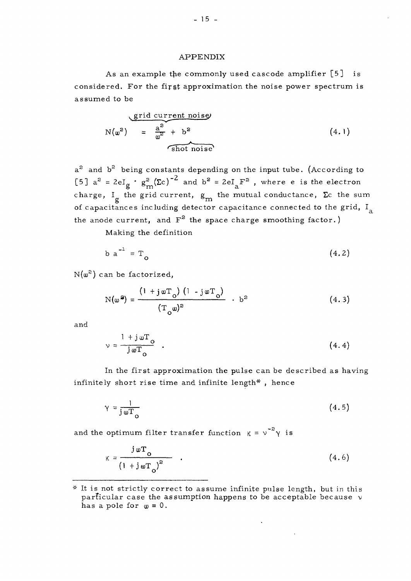#### APPENDIX

As an example the commonly used cascode amplifier [5] is considered. For the firgt approximation the noise power spectrum is assumed to be

$$
N(\omega^2) = \frac{a^2}{\omega^2} + b^2
$$
 (4.1)  

 $\mathrm{a}^2$  and  $\mathrm{b}^2$  being constants depending on the input tube. (According to [5]  $a^2 = 2eI_{\sigma}$  ·  $g_{\rm m}^2(\Sigma c)^{-2}$  and  $b^2 = 2eI_{\gamma}F^2$  , where e is the electron **a m 3,** charge,  $\frac{1}{g}$  the grid current,  $g_m$  the mutual conductance,  $\frac{1}{2}c$  the sum of capacitances including detector capacitance connected to the grid,  $I_a$ the anode current, and F<sup>2</sup> the space charge smoothing factor.)

Making the definition

$$
b a^{-1} = T_0 \tag{4.2}
$$

 $\mathrm{N}(\mathsf{w}^{\mathsf{2}})$  can be factorized,

$$
N(\omega^2) = \frac{(1 + j\omega T_o)(1 - j\omega T_o)}{(T_o\omega)^2} + b^2
$$
 (4.3)

and

$$
\mathbf{v} = \frac{1 + j \,\mathbf{w} \mathbf{T}_o}{j \,\mathbf{w} \mathbf{T}_o} \quad . \tag{4.4}
$$

In the first approximation the pulse can be described as having infinitely short rise time and infinite length\* , hence

$$
\gamma = \frac{1}{j \omega T_o} \tag{4.5}
$$

and the optimum filter transfer function  $K = v^{-2} \gamma$  is

$$
\kappa = \frac{j \omega T_0}{(1 + j \omega T_0)^2} \quad . \tag{4.6}
$$

<sup>\*</sup> It is not strictly correct to assume infinite pulse length, but in this particular case the assumption happens to be acceptable because  $\nu$ has a pole for  $\omega = 0$ .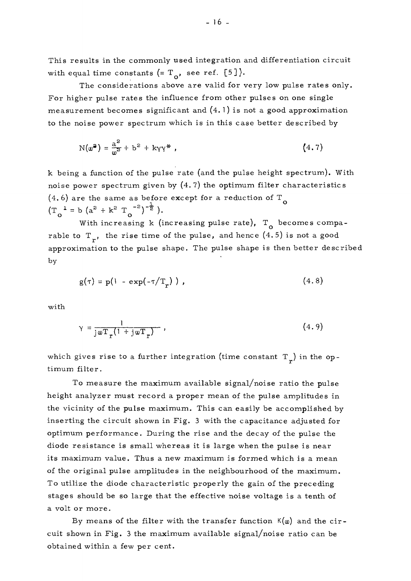This results in the commonly used integration and differentiation circuit with equal time constants  $(= T_{o}, \text{ see ref. } [5])$ .

The considerations above are valid for very low pulse rates only. For higher pulse rates the influence from other pulses on one single measurement becomes significant and  $(4.1)$  is not a good approximation to the noise power spectrum which is in this case better described by

$$
N(\omega^2) = \frac{a^2}{\omega^2} + b^2 + k\gamma\gamma^*,
$$
 (4.7)

k being a function of the pulse rate (and the pulse height spectrum). With noise power spectrum given by  $(4.7)$  the optimum filter characteristics  $(4.6)$  are the same as before except for a reduction of T<sub>o</sub>  $(T_{\circ}^1 = b (a^2 + k^2 T_{\circ}^{-2})^{-\frac{1}{2}}).$ 

With increasing k (increasing pulse rate),  $T_{0}$  becomes comparable to  $T_r$ , the rise time of the pulse, and hence  $(4.5)$  is not a good approximation to the pulse shape. The pulse shape is then better described by

$$
g(\tau) = p(1 - \exp(-\tau/T_r)), \qquad (4.8)
$$

with

$$
\gamma = \frac{1}{\text{j} \omega \mathbf{T}_r (1 + \text{j} \omega \mathbf{T}_r)},
$$
\n(4.9)

which gives rise to a further integration (time constant  $T_r$ ) in the optimum filter.

To measure the maximum available signal/noise ratio the pulse height analyzer must record a proper mean of the pulse amplitudes in the vicinity of the pulse maximum. This can easily be accomplished by inserting the circuit shown in Fig. 3 with the capacitance adjusted for optimum performance. During the rise and the decay of the pulse the diode resistance is small whereas it is large when the pulse is near its maximum value. Thus a new maximum is formed which is a mean of the original pulse amplitudes in the neighbourhood of the maximum. To utilize the diode characteristic properly the gain of the preceding stages should be so large that the effective noise voltage is a tenth of a volt or more.

By means of the filter with the transfer function  $K(\omega)$  and the circuit shown in Fig. 3 the maximum available signal/noise ratio can be obtained within a few per cent.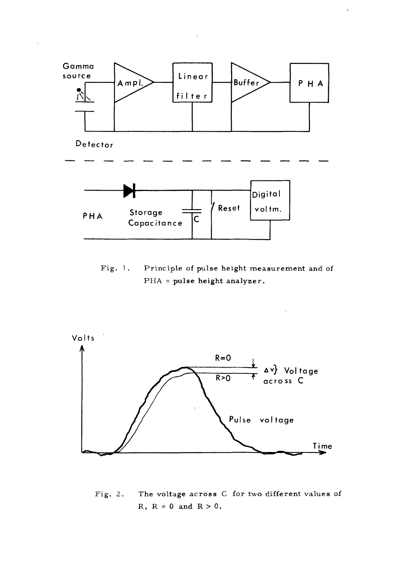

Fig. 1. Principle of pulse height measurement and of PHA = pulse height analyzer.



Fig. 2. The voltage across C for two different values of  $R$ ,  $R = 0$  and  $R > 0$ .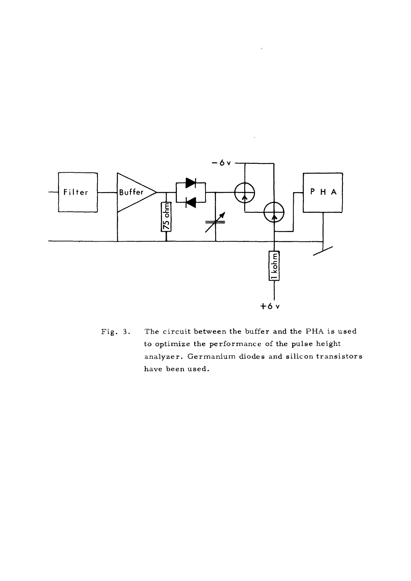

Fig. 3. The circuit between the buffer and the PHA is used to optimize the performance of the pulse height analyzer. Germanium diodes and silicon transistors have been used.